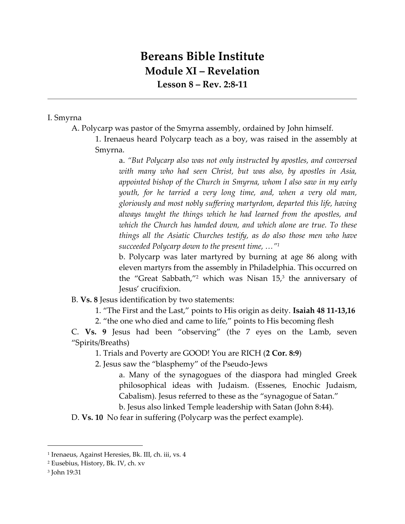## **Bereans Bible Institute Module XI – Revelation Lesson 8 – Rev. 2:8-11**

## I. Smyrna

- A. Polycarp was pastor of the Smyrna assembly, ordained by John himself.
	- 1. Irenaeus heard Polycarp teach as a boy, was raised in the assembly at Smyrna.

a. *"But Polycarp also was not only instructed by apostles, and conversed with many who had seen Christ, but was also, by apostles in Asia, appointed bishop of the Church in Smyrna, whom I also saw in my early youth, for he tarried a very long time, and, when a very old man, gloriously and most nobly suffering martyrdom, departed this life, having always taught the things which he had learned from the apostles, and which the Church has handed down, and which alone are true. To these things all the Asiatic Churches testify, as do also those men who have succeeded Polycarp down to the present time, …"<sup>1</sup>*

b. Polycarp was later martyred by burning at age 86 along with eleven martyrs from the assembly in Philadelphia. This occurred on the "Great Sabbath,"<sup>2</sup> which was Nisan 15, 3 the anniversary of Jesus' crucifixion.

- B. **Vs. 8** Jesus identification by two statements:
	- 1. "The First and the Last," points to His origin as deity. **Isaiah 48 11-13,16**
	- 2. "the one who died and came to life," points to His becoming flesh

C. **Vs. 9** Jesus had been "observing" (the 7 eyes on the Lamb, seven "Spirits/Breaths)

- 1. Trials and Poverty are GOOD! You are RICH (**2 Cor. 8:9**)
- 2. Jesus saw the "blasphemy" of the Pseudo-Jews
	- a. Many of the synagogues of the diaspora had mingled Greek philosophical ideas with Judaism. (Essenes, Enochic Judaism, Cabalism). Jesus referred to these as the "synagogue of Satan." b. Jesus also linked Temple leadership with Satan (John 8:44).

D. **Vs. 10** No fear in suffering (Polycarp was the perfect example).

l

<sup>1</sup> Irenaeus, Against Heresies, Bk. III, ch. iii, vs. 4

<sup>2</sup> Eusebius, History, Bk. IV, ch. xv

<sup>3</sup> John 19:31